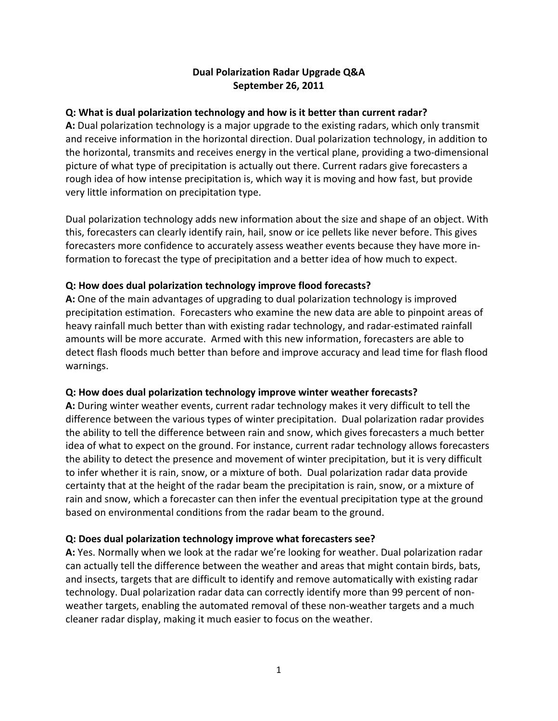# **Dual Polarization Radar Upgrade Q&A September 26, 2011**

# **Q: What is dual polarization technology and how is it better than current radar?**

**A:** Dual polarization technology is a major upgrade to the existing radars, which only transmit and receive information in the horizontal direction. Dual polarization technology, in addition to the horizontal, transmits and receives energy in the vertical plane, providing a two‐dimensional picture of what type of precipitation is actually out there. Current radars give forecasters a rough idea of how intense precipitation is, which way it is moving and how fast, but provide very little information on precipitation type.

Dual polarization technology adds new information about the size and shape of an object. With this, forecasters can clearly identify rain, hail, snow or ice pellets like never before. This gives forecasters more confidence to accurately assess weather events because they have more in‐ formation to forecast the type of precipitation and a better idea of how much to expect.

## **Q: How does dual polarization technology improve flood forecasts?**

**A:** One of the main advantages of upgrading to dual polarization technology is improved precipitation estimation. Forecasters who examine the new data are able to pinpoint areas of heavy rainfall much better than with existing radar technology, and radar‐estimated rainfall amounts will be more accurate. Armed with this new information, forecasters are able to detect flash floods much better than before and improve accuracy and lead time for flash flood warnings.

## **Q: How does dual polarization technology improve winter weather forecasts?**

**A:** During winter weather events, current radar technology makes it very difficult to tell the difference between the various types of winter precipitation. Dual polarization radar provides the ability to tell the difference between rain and snow, which gives forecasters a much better idea of what to expect on the ground. For instance, current radar technology allows forecasters the ability to detect the presence and movement of winter precipitation, but it is very difficult to infer whether it is rain, snow, or a mixture of both. Dual polarization radar data provide certainty that at the height of the radar beam the precipitation is rain, snow, or a mixture of rain and snow, which a forecaster can then infer the eventual precipitation type at the ground based on environmental conditions from the radar beam to the ground.

## **Q: Does dual polarization technology improve what forecasters see?**

**A:** Yes. Normally when we look at the radar we're looking for weather. Dual polarization radar can actually tell the difference between the weather and areas that might contain birds, bats, and insects, targets that are difficult to identify and remove automatically with existing radar technology. Dual polarization radar data can correctly identify more than 99 percent of non‐ weather targets, enabling the automated removal of these non-weather targets and a much cleaner radar display, making it much easier to focus on the weather.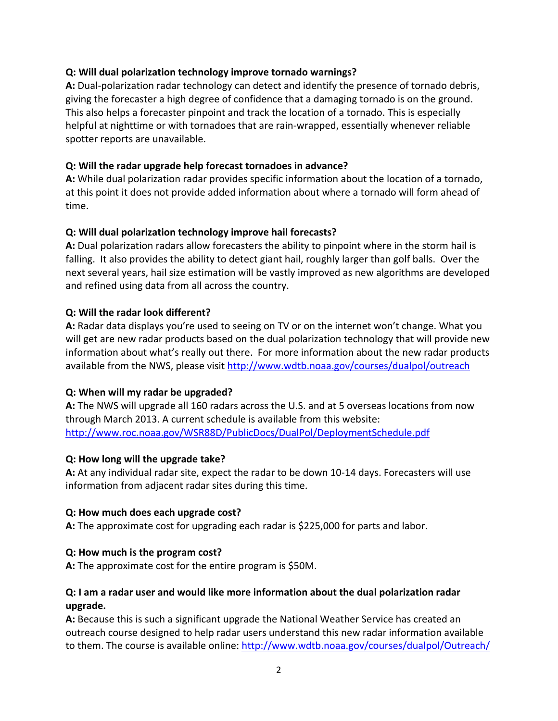### **Q: Will dual polarization technology improve tornado warnings?**

**A:** Dual‐polarization radar technology can detect and identify the presence of tornado debris, giving the forecaster a high degree of confidence that a damaging tornado is on the ground. This also helps a forecaster pinpoint and track the location of a tornado. This is especially helpful at nighttime or with tornadoes that are rain‐wrapped, essentially whenever reliable spotter reports are unavailable.

### **Q: Will the radar upgrade help forecast tornadoes in advance?**

**A:** While dual polarization radar provides specific information about the location of a tornado, at this point it does not provide added information about where a tornado will form ahead of time.

## **Q: Will dual polarization technology improve hail forecasts?**

**A:** Dual polarization radars allow forecasters the ability to pinpoint where in the storm hail is falling. It also provides the ability to detect giant hail, roughly larger than golf balls. Over the next several years, hail size estimation will be vastly improved as new algorithms are developed and refined using data from all across the country.

### **Q: Will the radar look different?**

**A:** Radar data displays you're used to seeing on TV or on the internet won't change. What you will get are new radar products based on the dual polarization technology that will provide new information about what's really out there. For more information about the new radar products available from the NWS, please visit http://www.wdtb.noaa.gov/courses/dualpol/outreach

## **Q: When will my radar be upgraded?**

**A:** The NWS will upgrade all 160 radars across the U.S. and at 5 overseas locations from now through March 2013. A current schedule is available from this website: http://www.roc.noaa.gov/WSR88D/PublicDocs/DualPol/DeploymentSchedule.pdf

#### **Q: How long will the upgrade take?**

**A:** At any individual radar site, expect the radar to be down 10‐14 days. Forecasters will use information from adjacent radar sites during this time.

#### **Q: How much does each upgrade cost?**

**A:** The approximate cost for upgrading each radar is \$225,000 for parts and labor.

#### **Q: How much is the program cost?**

**A:** The approximate cost for the entire program is \$50M.

### **Q: I am a radar user and would like more information about the dual polarization radar upgrade.**

**A:** Because this is such a significant upgrade the National Weather Service has created an outreach course designed to help radar users understand this new radar information available to them. The course is available online: http://www.wdtb.noaa.gov/courses/dualpol/Outreach/